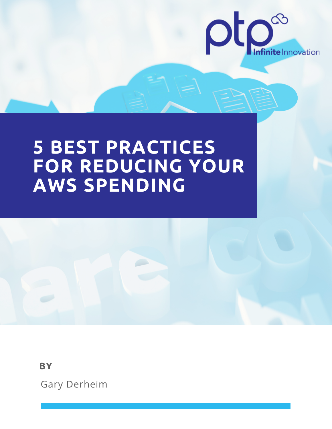

# **5 BEST PRACTICES FOR REDUCING YOUR AWS SPENDING**

**BY**

Gary Derheim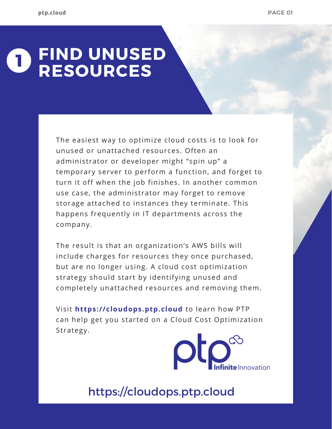#### **FIND UNUSED RESOURCES 1**

The easiest way to optimize cloud costs is to look for unused or unattached resources. Often an administrator or developer might "spin up" a temporary server to perform a function, and forget to turn it off when the job finishes. In another common use case, the administrator may forget to remove storage attached to instances they terminate. This happens frequently in IT departments across the company.

The result is that an organization's AWS bills will include charges for resources they once purchased, but are no longer using. A cloud cost optimization strategy should start by identifying unused and completely unattached resources and removing them.

Visit **https://cloudops.ptp.cloud** to learn how PTP can help get you started on a Cloud Cost Optimization Strategy.

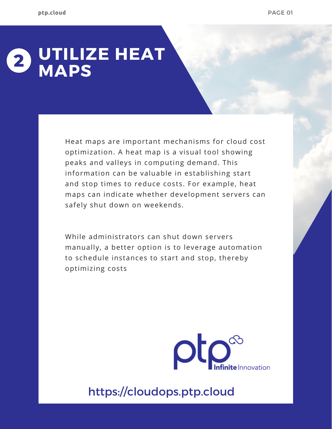#### **UTILIZE HEAT MAPS 2**

Heat maps are important mechanisms for cloud cost optimization. A heat map is a visual tool showing peaks and valleys in computing demand. This information can be valuable in establishing start and stop times to reduce costs. For example, heat maps can indicate whether development servers can safely shut down on weekends.

While administrators can shut down servers manually, a better option is to leverage automation to schedule instances to start and stop, thereby optimizing costs

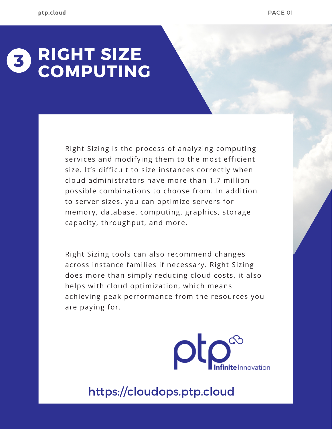#### **RIGHT SIZE COMPUTING 3**

Right Sizing is the process of analyzing computing services and modifying them to the most efficient size. It's difficult to size instances correctly when cloud administrators have more than 1.7 million possible combinations to choose from. In addition to server sizes, you can optimize servers for memory, database, computing, graphics, storage capacity, throughput, and more.

Right Sizing tools can also recommend changes across instance families if necessary. Right Sizing does more than simply reducing cloud costs, it also helps with cloud optimization, which means achieving peak performance from the resources you are paying for.

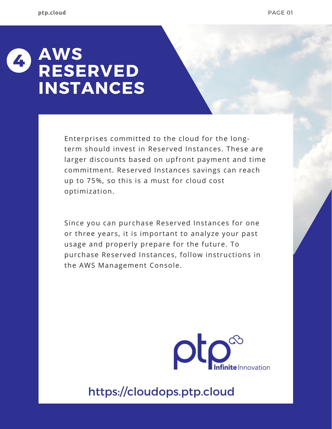## **AWS RESERVED INSTANCES 4**

Enterprises committed to the cloud for the longterm should invest in Reserved Instances. These are larger discounts based on upfront payment and time commitment. Reserved Instances savings can reach up to 75%, so this is a must for cloud cost optimization.

Since you can purchase Reserved Instances for one or three years, it is important to analyze your past usage and properly prepare for the future. To purchase Reserved Instances, follow instructions in the AWS [Management](https://aws.amazon.com/ec2/pricing/reserved-instances/buyer/) Console.

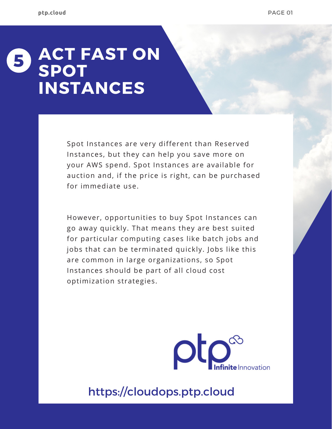## **ACT FAST ON SPOT INSTANCES 5**

Spot Instances are very different than Reserved Instances, but they can help you save more on your AWS spend. Spot Instances are available for auction and, if the price is right, can be purchased for immediate use.

However, opportunities to buy Spot Instances can go away quickly. That means they are best suited for particular computing cases like batch jobs and jobs that can be terminated quickly. Jobs like this are common in large organizations, so Spot Instances should be part of all cloud cost optimization strategies.